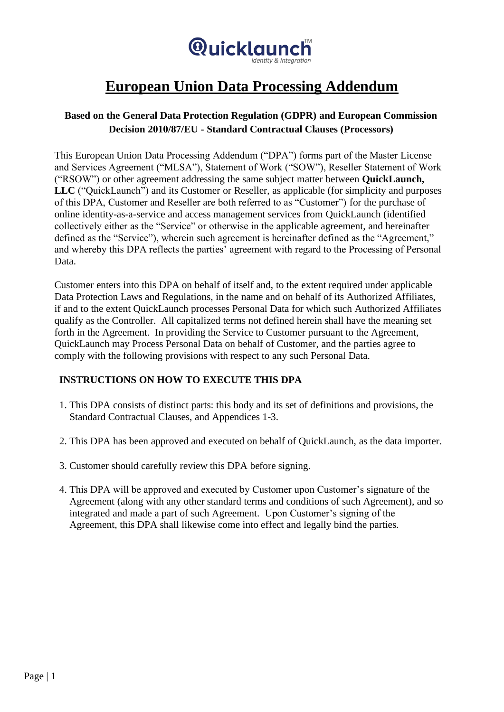

# **European Union Data Processing Addendum**

# **Based on the General Data Protection Regulation (GDPR) and European Commission Decision 2010/87/EU - Standard Contractual Clauses (Processors)**

This European Union Data Processing Addendum ("DPA") forms part of the Master License and Services Agreement ("MLSA"), Statement of Work ("SOW"), Reseller Statement of Work ("RSOW") or other agreement addressing the same subject matter between **QuickLaunch, LLC** ("QuickLaunch") and its Customer or Reseller, as applicable (for simplicity and purposes of this DPA, Customer and Reseller are both referred to as "Customer") for the purchase of online identity-as-a-service and access management services from QuickLaunch (identified collectively either as the "Service" or otherwise in the applicable agreement, and hereinafter defined as the "Service"), wherein such agreement is hereinafter defined as the "Agreement," and whereby this DPA reflects the parties' agreement with regard to the Processing of Personal Data.

Customer enters into this DPA on behalf of itself and, to the extent required under applicable Data Protection Laws and Regulations, in the name and on behalf of its Authorized Affiliates, if and to the extent QuickLaunch processes Personal Data for which such Authorized Affiliates qualify as the Controller. All capitalized terms not defined herein shall have the meaning set forth in the Agreement. In providing the Service to Customer pursuant to the Agreement, QuickLaunch may Process Personal Data on behalf of Customer, and the parties agree to comply with the following provisions with respect to any such Personal Data.

# **INSTRUCTIONS ON HOW TO EXECUTE THIS DPA**

- 1. This DPA consists of distinct parts: this body and its set of definitions and provisions, the Standard Contractual Clauses, and Appendices 1-3.
- 2. This DPA has been approved and executed on behalf of QuickLaunch, as the data importer.
- 3. Customer should carefully review this DPA before signing.
- 4. This DPA will be approved and executed by Customer upon Customer's signature of the Agreement (along with any other standard terms and conditions of such Agreement), and so integrated and made a part of such Agreement. Upon Customer's signing of the Agreement, this DPA shall likewise come into effect and legally bind the parties.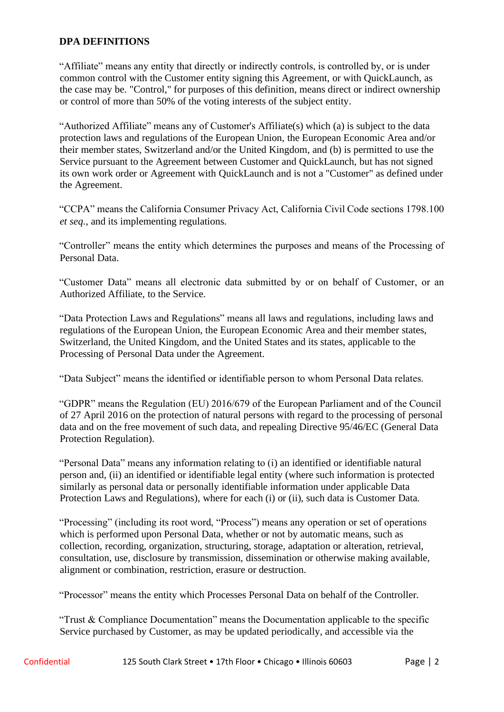## **DPA DEFINITIONS**

"Affiliate" means any entity that directly or indirectly controls, is controlled by, or is under common control with the Customer entity signing this Agreement, or with QuickLaunch, as the case may be. "Control," for purposes of this definition, means direct or indirect ownership or control of more than 50% of the voting interests of the subject entity.

"Authorized Affiliate" means any of Customer's Affiliate(s) which (a) is subject to the data protection laws and regulations of the European Union, the European Economic Area and/or their member states, Switzerland and/or the United Kingdom, and (b) is permitted to use the Service pursuant to the Agreement between Customer and QuickLaunch, but has not signed its own work order or Agreement with QuickLaunch and is not a "Customer" as defined under the Agreement.

"CCPA" means the California Consumer Privacy Act, California Civil Code sections 1798.100 *et seq*., and its implementing regulations.

"Controller" means the entity which determines the purposes and means of the Processing of Personal Data.

"Customer Data" means all electronic data submitted by or on behalf of Customer, or an Authorized Affiliate, to the Service.

"Data Protection Laws and Regulations" means all laws and regulations, including laws and regulations of the European Union, the European Economic Area and their member states, Switzerland, the United Kingdom, and the United States and its states, applicable to the Processing of Personal Data under the Agreement.

"Data Subject" means the identified or identifiable person to whom Personal Data relates.

"GDPR" means the Regulation (EU) 2016/679 of the European Parliament and of the Council of 27 April 2016 on the protection of natural persons with regard to the processing of personal data and on the free movement of such data, and repealing Directive 95/46/EC (General Data Protection Regulation).

"Personal Data" means any information relating to (i) an identified or identifiable natural person and, (ii) an identified or identifiable legal entity (where such information is protected similarly as personal data or personally identifiable information under applicable Data Protection Laws and Regulations), where for each (i) or (ii), such data is Customer Data.

"Processing" (including its root word, "Process") means any operation or set of operations which is performed upon Personal Data, whether or not by automatic means, such as collection, recording, organization, structuring, storage, adaptation or alteration, retrieval, consultation, use, disclosure by transmission, dissemination or otherwise making available, alignment or combination, restriction, erasure or destruction.

"Processor" means the entity which Processes Personal Data on behalf of the Controller.

"Trust & Compliance Documentation" means the Documentation applicable to the specific Service purchased by Customer, as may be updated periodically, and accessible via the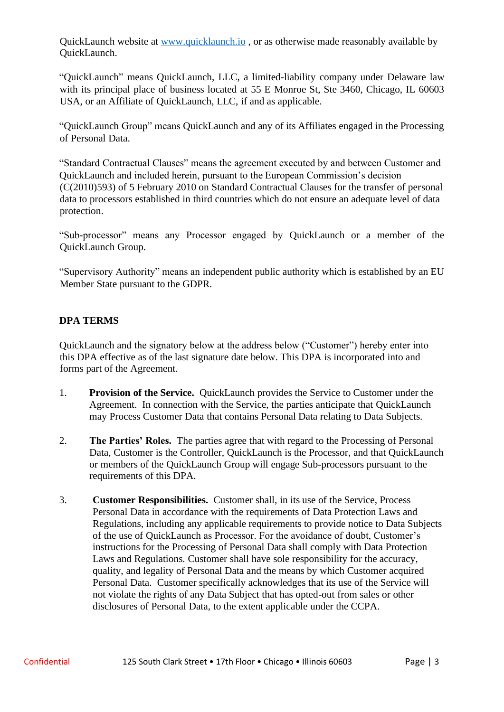QuickLaunch website a[t](http://www.okta.com/agreements) [www.quicklaunch.io](http://www.quicklaunch.io/) , or as otherwise made reasonably available by QuickLaunch.

"QuickLaunch" means QuickLaunch, LLC, a limited-liability company under Delaware law with its principal place of business located at 55 E Monroe St, Ste 3460, Chicago, IL 60603 USA, or an Affiliate of QuickLaunch, LLC, if and as applicable.

"QuickLaunch Group" means QuickLaunch and any of its Affiliates engaged in the Processing of Personal Data.

"Standard Contractual Clauses" means the agreement executed by and between Customer and QuickLaunch and included herein, pursuant to the European Commission's decision (C(2010)593) of 5 February 2010 on Standard Contractual Clauses for the transfer of personal data to processors established in third countries which do not ensure an adequate level of data protection.

"Sub-processor" means any Processor engaged by QuickLaunch or a member of the QuickLaunch Group.

"Supervisory Authority" means an independent public authority which is established by an EU Member State pursuant to the GDPR.

# **DPA TERMS**

QuickLaunch and the signatory below at the address below ("Customer") hereby enter into this DPA effective as of the last signature date below. This DPA is incorporated into and forms part of the Agreement.

- 1. **Provision of the Service.** QuickLaunch provides the Service to Customer under the Agreement. In connection with the Service, the parties anticipate that QuickLaunch may Process Customer Data that contains Personal Data relating to Data Subjects.
- 2. **The Parties' Roles.** The parties agree that with regard to the Processing of Personal Data, Customer is the Controller, QuickLaunch is the Processor, and that QuickLaunch or members of the QuickLaunch Group will engage Sub-processors pursuant to the requirements of this DPA.
- 3. **Customer Responsibilities.** Customer shall, in its use of the Service, Process Personal Data in accordance with the requirements of Data Protection Laws and Regulations, including any applicable requirements to provide notice to Data Subjects of the use of QuickLaunch as Processor. For the avoidance of doubt, Customer's instructions for the Processing of Personal Data shall comply with Data Protection Laws and Regulations. Customer shall have sole responsibility for the accuracy, quality, and legality of Personal Data and the means by which Customer acquired Personal Data. Customer specifically acknowledges that its use of the Service will not violate the rights of any Data Subject that has opted-out from sales or other disclosures of Personal Data, to the extent applicable under the CCPA.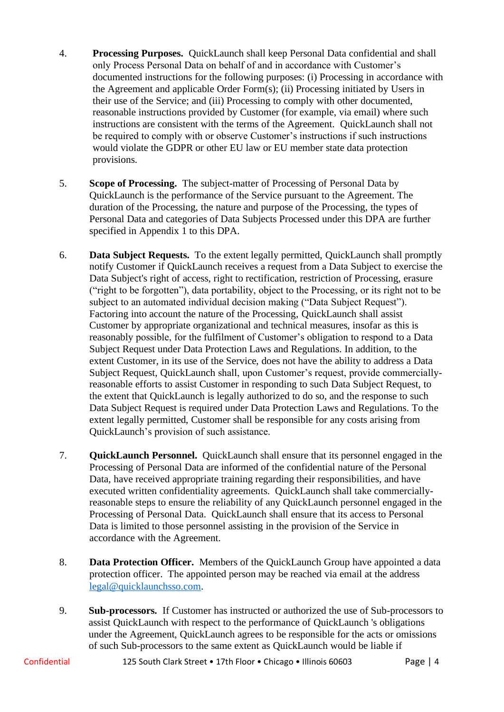- 4. **Processing Purposes.** QuickLaunch shall keep Personal Data confidential and shall only Process Personal Data on behalf of and in accordance with Customer's documented instructions for the following purposes: (i) Processing in accordance with the Agreement and applicable Order Form(s); (ii) Processing initiated by Users in their use of the Service; and (iii) Processing to comply with other documented, reasonable instructions provided by Customer (for example, via email) where such instructions are consistent with the terms of the Agreement. QuickLaunch shall not be required to comply with or observe Customer's instructions if such instructions would violate the GDPR or other EU law or EU member state data protection provisions.
- 5. **Scope of Processing.** The subject-matter of Processing of Personal Data by QuickLaunch is the performance of the Service pursuant to the Agreement. The duration of the Processing, the nature and purpose of the Processing, the types of Personal Data and categories of Data Subjects Processed under this DPA are further specified in Appendix 1 to this DPA.
- 6. **Data Subject Requests.** To the extent legally permitted, QuickLaunch shall promptly notify Customer if QuickLaunch receives a request from a Data Subject to exercise the Data Subject's right of access, right to rectification, restriction of Processing, erasure ("right to be forgotten"), data portability, object to the Processing, or its right not to be subject to an automated individual decision making ("Data Subject Request"). Factoring into account the nature of the Processing, QuickLaunch shall assist Customer by appropriate organizational and technical measures, insofar as this is reasonably possible, for the fulfilment of Customer's obligation to respond to a Data Subject Request under Data Protection Laws and Regulations. In addition, to the extent Customer, in its use of the Service, does not have the ability to address a Data Subject Request, QuickLaunch shall, upon Customer's request, provide commerciallyreasonable efforts to assist Customer in responding to such Data Subject Request, to the extent that QuickLaunch is legally authorized to do so, and the response to such Data Subject Request is required under Data Protection Laws and Regulations. To the extent legally permitted, Customer shall be responsible for any costs arising from QuickLaunch's provision of such assistance.
- 7. **QuickLaunch Personnel.** QuickLaunch shall ensure that its personnel engaged in the Processing of Personal Data are informed of the confidential nature of the Personal Data, have received appropriate training regarding their responsibilities, and have executed written confidentiality agreements. QuickLaunch shall take commerciallyreasonable steps to ensure the reliability of any QuickLaunch personnel engaged in the Processing of Personal Data. QuickLaunch shall ensure that its access to Personal Data is limited to those personnel assisting in the provision of the Service in accordance with the Agreement.
- 8. **Data Protection Officer.** Members of the QuickLaunch Group have appointed a data protection officer. The appointed person may be reached via email at the address [legal@quicklaunchsso.com.](mailto:legal@quicklaunchsso.com)
- 9. **Sub-processors.** If Customer has instructed or authorized the use of Sub-processors to assist QuickLaunch with respect to the performance of QuickLaunch 's obligations under the Agreement, QuickLaunch agrees to be responsible for the acts or omissions of such Sub-processors to the same extent as QuickLaunch would be liable if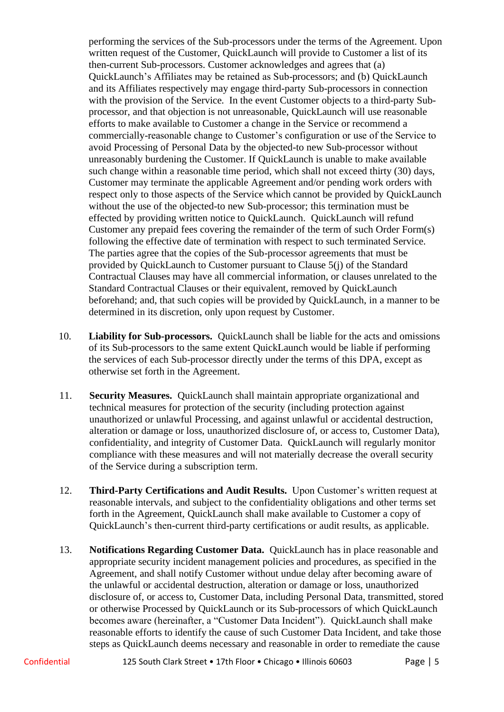performing the services of the Sub-processors under the terms of the Agreement. Upon written request of the Customer, QuickLaunch will provide to Customer a list of its then-current Sub-processors. Customer acknowledges and agrees that (a) QuickLaunch's Affiliates may be retained as Sub-processors; and (b) QuickLaunch and its Affiliates respectively may engage third-party Sub-processors in connection with the provision of the Service. In the event Customer objects to a third-party Subprocessor, and that objection is not unreasonable, QuickLaunch will use reasonable efforts to make available to Customer a change in the Service or recommend a commercially-reasonable change to Customer's configuration or use of the Service to avoid Processing of Personal Data by the objected-to new Sub-processor without unreasonably burdening the Customer. If QuickLaunch is unable to make available such change within a reasonable time period, which shall not exceed thirty (30) days, Customer may terminate the applicable Agreement and/or pending work orders with respect only to those aspects of the Service which cannot be provided by QuickLaunch without the use of the objected-to new Sub-processor; this termination must be effected by providing written notice to QuickLaunch. QuickLaunch will refund Customer any prepaid fees covering the remainder of the term of such Order Form(s) following the effective date of termination with respect to such terminated Service. The parties agree that the copies of the Sub-processor agreements that must be provided by QuickLaunch to Customer pursuant to Clause 5(j) of the Standard Contractual Clauses may have all commercial information, or clauses unrelated to the Standard Contractual Clauses or their equivalent, removed by QuickLaunch beforehand; and, that such copies will be provided by QuickLaunch, in a manner to be determined in its discretion, only upon request by Customer.

- 10. **Liability for Sub-processors.** QuickLaunch shall be liable for the acts and omissions of its Sub-processors to the same extent QuickLaunch would be liable if performing the services of each Sub-processor directly under the terms of this DPA, except as otherwise set forth in the Agreement.
- 11. **Security Measures.** QuickLaunch shall maintain appropriate organizational and technical measures for protection of the security (including protection against unauthorized or unlawful Processing, and against unlawful or accidental destruction, alteration or damage or loss, unauthorized disclosure of, or access to, Customer Data), confidentiality, and integrity of Customer Data. QuickLaunch will regularly monitor compliance with these measures and will not materially decrease the overall security of the Service during a subscription term.
- 12. **Third-Party Certifications and Audit Results.** Upon Customer's written request at reasonable intervals, and subject to the confidentiality obligations and other terms set forth in the Agreement, QuickLaunch shall make available to Customer a copy of QuickLaunch's then-current third-party certifications or audit results, as applicable.
- 13. **Notifications Regarding Customer Data.** QuickLaunch has in place reasonable and appropriate security incident management policies and procedures, as specified in the Agreement, and shall notify Customer without undue delay after becoming aware of the unlawful or accidental destruction, alteration or damage or loss, unauthorized disclosure of, or access to, Customer Data, including Personal Data, transmitted, stored or otherwise Processed by QuickLaunch or its Sub-processors of which QuickLaunch becomes aware (hereinafter, a "Customer Data Incident"). QuickLaunch shall make reasonable efforts to identify the cause of such Customer Data Incident, and take those steps as QuickLaunch deems necessary and reasonable in order to remediate the cause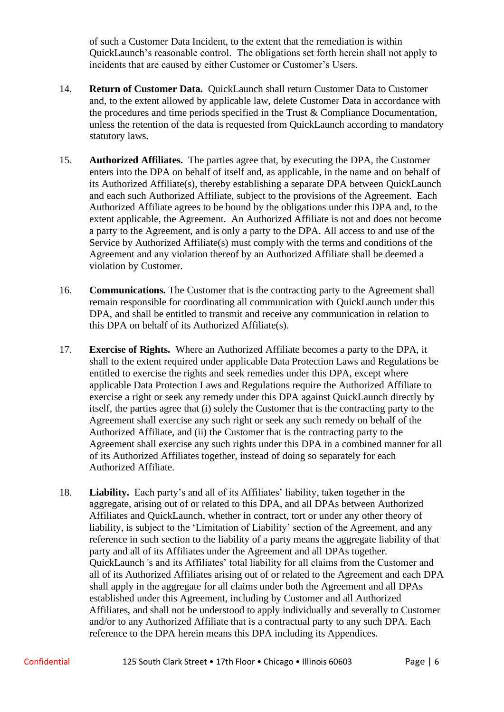of such a Customer Data Incident, to the extent that the remediation is within QuickLaunch's reasonable control. The obligations set forth herein shall not apply to incidents that are caused by either Customer or Customer's Users.

- 14. **Return of Customer Data.** QuickLaunch shall return Customer Data to Customer and, to the extent allowed by applicable law, delete Customer Data in accordance with the procedures and time periods specified in the Trust & Compliance Documentation, unless the retention of the data is requested from QuickLaunch according to mandatory statutory laws.
- 15. **Authorized Affiliates.** The parties agree that, by executing the DPA, the Customer enters into the DPA on behalf of itself and, as applicable, in the name and on behalf of its Authorized Affiliate(s), thereby establishing a separate DPA between QuickLaunch and each such Authorized Affiliate, subject to the provisions of the Agreement. Each Authorized Affiliate agrees to be bound by the obligations under this DPA and, to the extent applicable, the Agreement. An Authorized Affiliate is not and does not become a party to the Agreement, and is only a party to the DPA. All access to and use of the Service by Authorized Affiliate(s) must comply with the terms and conditions of the Agreement and any violation thereof by an Authorized Affiliate shall be deemed a violation by Customer.
- 16. **Communications.** The Customer that is the contracting party to the Agreement shall remain responsible for coordinating all communication with QuickLaunch under this DPA, and shall be entitled to transmit and receive any communication in relation to this DPA on behalf of its Authorized Affiliate(s).
- 17. **Exercise of Rights.** Where an Authorized Affiliate becomes a party to the DPA, it shall to the extent required under applicable Data Protection Laws and Regulations be entitled to exercise the rights and seek remedies under this DPA, except where applicable Data Protection Laws and Regulations require the Authorized Affiliate to exercise a right or seek any remedy under this DPA against QuickLaunch directly by itself, the parties agree that (i) solely the Customer that is the contracting party to the Agreement shall exercise any such right or seek any such remedy on behalf of the Authorized Affiliate, and (ii) the Customer that is the contracting party to the Agreement shall exercise any such rights under this DPA in a combined manner for all of its Authorized Affiliates together, instead of doing so separately for each Authorized Affiliate.
- 18. **Liability.** Each party's and all of its Affiliates' liability, taken together in the aggregate, arising out of or related to this DPA, and all DPAs between Authorized Affiliates and QuickLaunch, whether in contract, tort or under any other theory of liability, is subject to the 'Limitation of Liability' section of the Agreement, and any reference in such section to the liability of a party means the aggregate liability of that party and all of its Affiliates under the Agreement and all DPAs together. QuickLaunch 's and its Affiliates' total liability for all claims from the Customer and all of its Authorized Affiliates arising out of or related to the Agreement and each DPA shall apply in the aggregate for all claims under both the Agreement and all DPAs established under this Agreement, including by Customer and all Authorized Affiliates, and shall not be understood to apply individually and severally to Customer and/or to any Authorized Affiliate that is a contractual party to any such DPA. Each reference to the DPA herein means this DPA including its Appendices.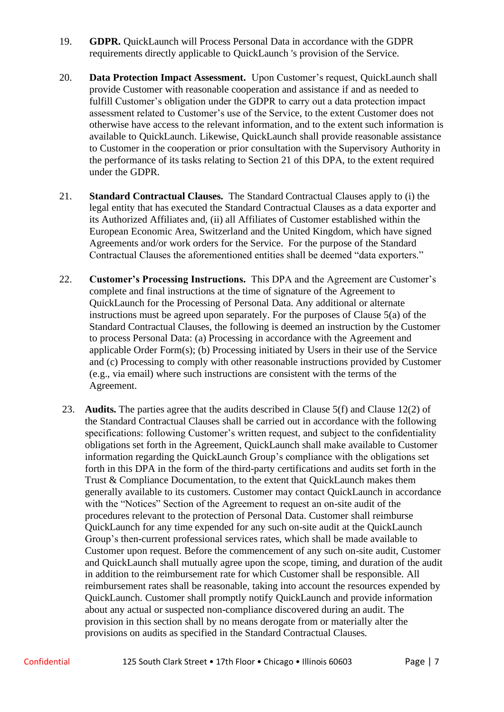- 19. **GDPR.** QuickLaunch will Process Personal Data in accordance with the GDPR requirements directly applicable to QuickLaunch 's provision of the Service.
- 20. **Data Protection Impact Assessment.** Upon Customer's request, QuickLaunch shall provide Customer with reasonable cooperation and assistance if and as needed to fulfill Customer's obligation under the GDPR to carry out a data protection impact assessment related to Customer's use of the Service, to the extent Customer does not otherwise have access to the relevant information, and to the extent such information is available to QuickLaunch. Likewise, QuickLaunch shall provide reasonable assistance to Customer in the cooperation or prior consultation with the Supervisory Authority in the performance of its tasks relating to Section 21 of this DPA, to the extent required under the GDPR.
- 21. **Standard Contractual Clauses.** The Standard Contractual Clauses apply to (i) the legal entity that has executed the Standard Contractual Clauses as a data exporter and its Authorized Affiliates and, (ii) all Affiliates of Customer established within the European Economic Area, Switzerland and the United Kingdom, which have signed Agreements and/or work orders for the Service. For the purpose of the Standard Contractual Clauses the aforementioned entities shall be deemed "data exporters."
- 22. **Customer's Processing Instructions.** This DPA and the Agreement are Customer's complete and final instructions at the time of signature of the Agreement to QuickLaunch for the Processing of Personal Data. Any additional or alternate instructions must be agreed upon separately. For the purposes of Clause 5(a) of the Standard Contractual Clauses, the following is deemed an instruction by the Customer to process Personal Data: (a) Processing in accordance with the Agreement and applicable Order Form(s); (b) Processing initiated by Users in their use of the Service and (c) Processing to comply with other reasonable instructions provided by Customer (e.g., via email) where such instructions are consistent with the terms of the Agreement.
- 23. **Audits.** The parties agree that the audits described in Clause 5(f) and Clause 12(2) of the Standard Contractual Clauses shall be carried out in accordance with the following specifications: following Customer's written request, and subject to the confidentiality obligations set forth in the Agreement, QuickLaunch shall make available to Customer information regarding the QuickLaunch Group's compliance with the obligations set forth in this DPA in the form of the third-party certifications and audits set forth in the Trust & Compliance Documentation, to the extent that QuickLaunch makes them generally available to its customers. Customer may contact QuickLaunch in accordance with the "Notices" Section of the Agreement to request an on-site audit of the procedures relevant to the protection of Personal Data. Customer shall reimburse QuickLaunch for any time expended for any such on-site audit at the QuickLaunch Group's then-current professional services rates, which shall be made available to Customer upon request. Before the commencement of any such on-site audit, Customer and QuickLaunch shall mutually agree upon the scope, timing, and duration of the audit in addition to the reimbursement rate for which Customer shall be responsible. All reimbursement rates shall be reasonable, taking into account the resources expended by QuickLaunch. Customer shall promptly notify QuickLaunch and provide information about any actual or suspected non-compliance discovered during an audit. The provision in this section shall by no means derogate from or materially alter the provisions on audits as specified in the Standard Contractual Clauses.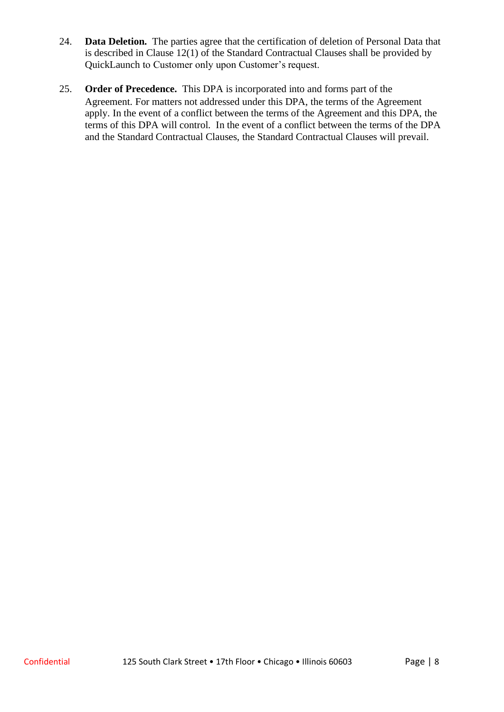- 24. **Data Deletion.** The parties agree that the certification of deletion of Personal Data that is described in Clause 12(1) of the Standard Contractual Clauses shall be provided by QuickLaunch to Customer only upon Customer's request.
- 25. **Order of Precedence.** This DPA is incorporated into and forms part of the Agreement. For matters not addressed under this DPA, the terms of the Agreement apply. In the event of a conflict between the terms of the Agreement and this DPA, the terms of this DPA will control. In the event of a conflict between the terms of the DPA and the Standard Contractual Clauses, the Standard Contractual Clauses will prevail.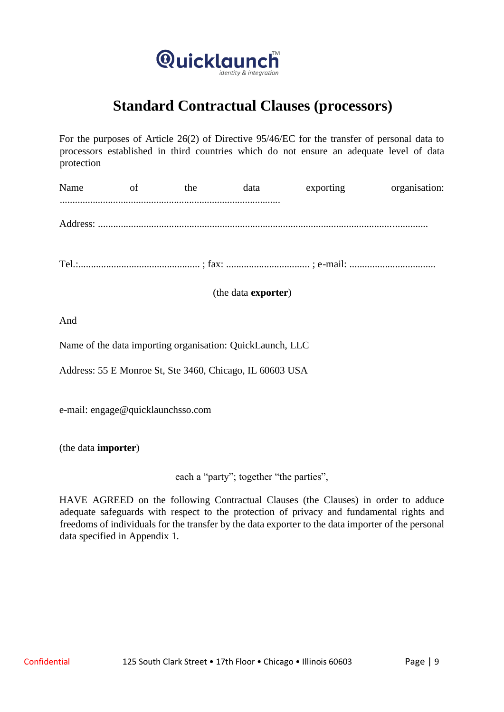

# **Standard Contractual Clauses (processors)**

For the purposes of Article 26(2) of Directive 95/46/EC for the transfer of personal data to processors established in third countries which do not ensure an adequate level of data protection Name of the data exporting organisation: ....................................................................................... Address: .................................................................................................................................. Tel.:................................................ ; fax: ................................. ; e-mail: .................................. (the data **exporter**) And Name of the data importing organisation: QuickLaunch, LLC Address: 55 E Monroe St, Ste 3460, Chicago, IL 60603 USA e-mail: engage@quicklaunchsso.com

(the data **importer**)

each a "party"; together "the parties",

HAVE AGREED on the following Contractual Clauses (the Clauses) in order to adduce adequate safeguards with respect to the protection of privacy and fundamental rights and freedoms of individuals for the transfer by the data exporter to the data importer of the personal data specified in Appendix 1.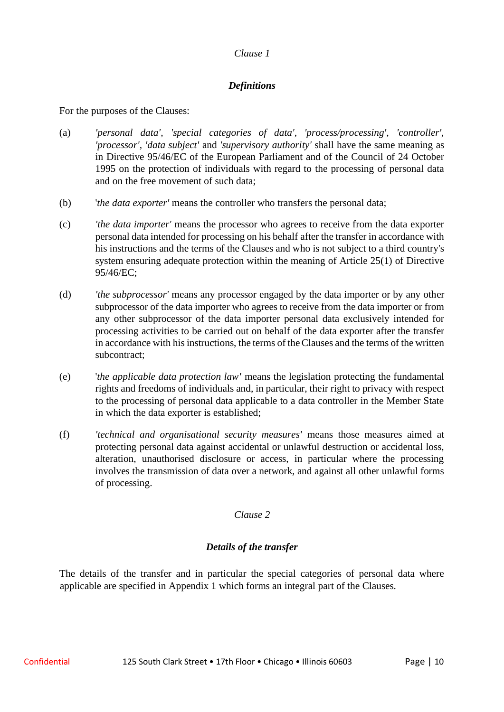## *Clause 1*

# *Definitions*

For the purposes of the Clauses:

- (a) *'personal data', 'special categories of data', 'process/processing', 'controller', 'processor', 'data subject'* and *'supervisory authority'* shall have the same meaning as in Directive 95/46/EC of the European Parliament and of the Council of 24 October 1995 on the protection of individuals with regard to the processing of personal data and on the free movement of such data;
- (b) '*the data exporter'* means the controller who transfers the personal data;
- (c) *'the data importer'* means the processor who agrees to receive from the data exporter personal data intended for processing on his behalf after the transfer in accordance with his instructions and the terms of the Clauses and who is not subject to a third country's system ensuring adequate protection within the meaning of Article 25(1) of Directive 95/46/EC;
- (d) *'the subprocessor'* means any processor engaged by the data importer or by any other subprocessor of the data importer who agrees to receive from the data importer or from any other subprocessor of the data importer personal data exclusively intended for processing activities to be carried out on behalf of the data exporter after the transfer in accordance with his instructions, the terms of the Clauses and the terms of the written subcontract;
- (e) '*the applicable data protection law'* means the legislation protecting the fundamental rights and freedoms of individuals and, in particular, their right to privacy with respect to the processing of personal data applicable to a data controller in the Member State in which the data exporter is established;
- (f) *'technical and organisational security measures'* means those measures aimed at protecting personal data against accidental or unlawful destruction or accidental loss, alteration, unauthorised disclosure or access, in particular where the processing involves the transmission of data over a network, and against all other unlawful forms of processing.

# *Clause 2*

# *Details of the transfer*

The details of the transfer and in particular the special categories of personal data where applicable are specified in Appendix 1 which forms an integral part of the Clauses.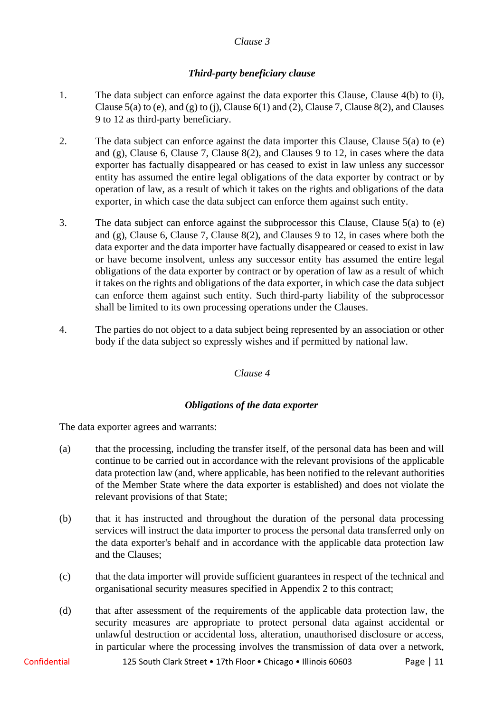#### *Clause 3*

### *Third-party beneficiary clause*

- 1. The data subject can enforce against the data exporter this Clause, Clause 4(b) to (i), Clause  $5(a)$  to (e), and (g) to (j), Clause  $6(1)$  and (2), Clause 7, Clause  $8(2)$ , and Clauses 9 to 12 as third-party beneficiary.
- 2. The data subject can enforce against the data importer this Clause, Clause 5(a) to (e) and (g), Clause 6, Clause 7, Clause 8(2), and Clauses 9 to 12, in cases where the data exporter has factually disappeared or has ceased to exist in law unless any successor entity has assumed the entire legal obligations of the data exporter by contract or by operation of law, as a result of which it takes on the rights and obligations of the data exporter, in which case the data subject can enforce them against such entity.
- 3. The data subject can enforce against the subprocessor this Clause, Clause 5(a) to (e) and (g), Clause 6, Clause 7, Clause 8(2), and Clauses 9 to 12, in cases where both the data exporter and the data importer have factually disappeared or ceased to exist in law or have become insolvent, unless any successor entity has assumed the entire legal obligations of the data exporter by contract or by operation of law as a result of which it takes on the rights and obligations of the data exporter, in which case the data subject can enforce them against such entity. Such third-party liability of the subprocessor shall be limited to its own processing operations under the Clauses.
- 4. The parties do not object to a data subject being represented by an association or other body if the data subject so expressly wishes and if permitted by national law.

#### *Clause 4*

#### *Obligations of the data exporter*

The data exporter agrees and warrants:

- (a) that the processing, including the transfer itself, of the personal data has been and will continue to be carried out in accordance with the relevant provisions of the applicable data protection law (and, where applicable, has been notified to the relevant authorities of the Member State where the data exporter is established) and does not violate the relevant provisions of that State;
- (b) that it has instructed and throughout the duration of the personal data processing services will instruct the data importer to process the personal data transferred only on the data exporter's behalf and in accordance with the applicable data protection law and the Clauses;
- (c) that the data importer will provide sufficient guarantees in respect of the technical and organisational security measures specified in Appendix 2 to this contract;
- (d) that after assessment of the requirements of the applicable data protection law, the security measures are appropriate to protect personal data against accidental or unlawful destruction or accidental loss, alteration, unauthorised disclosure or access, in particular where the processing involves the transmission of data over a network,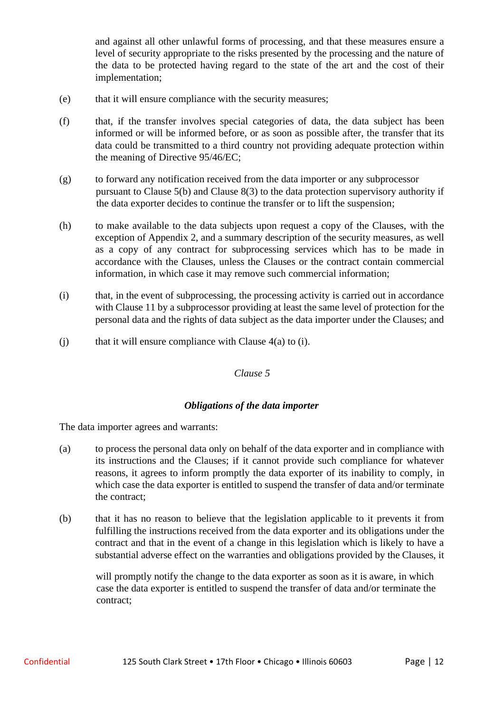and against all other unlawful forms of processing, and that these measures ensure a level of security appropriate to the risks presented by the processing and the nature of the data to be protected having regard to the state of the art and the cost of their implementation;

- (e) that it will ensure compliance with the security measures;
- (f) that, if the transfer involves special categories of data, the data subject has been informed or will be informed before, or as soon as possible after, the transfer that its data could be transmitted to a third country not providing adequate protection within the meaning of Directive 95/46/EC;
- (g) to forward any notification received from the data importer or any subprocessor pursuant to Clause 5(b) and Clause 8(3) to the data protection supervisory authority if the data exporter decides to continue the transfer or to lift the suspension;
- (h) to make available to the data subjects upon request a copy of the Clauses, with the exception of Appendix 2, and a summary description of the security measures, as well as a copy of any contract for subprocessing services which has to be made in accordance with the Clauses, unless the Clauses or the contract contain commercial information, in which case it may remove such commercial information;
- (i) that, in the event of subprocessing, the processing activity is carried out in accordance with Clause 11 by a subprocessor providing at least the same level of protection for the personal data and the rights of data subject as the data importer under the Clauses; and
- (j) that it will ensure compliance with Clause  $4(a)$  to (i).

#### *Clause 5*

#### *Obligations of the data importer*

The data importer agrees and warrants:

- (a) to process the personal data only on behalf of the data exporter and in compliance with its instructions and the Clauses; if it cannot provide such compliance for whatever reasons, it agrees to inform promptly the data exporter of its inability to comply, in which case the data exporter is entitled to suspend the transfer of data and/or terminate the contract;
- (b) that it has no reason to believe that the legislation applicable to it prevents it from fulfilling the instructions received from the data exporter and its obligations under the contract and that in the event of a change in this legislation which is likely to have a substantial adverse effect on the warranties and obligations provided by the Clauses, it

will promptly notify the change to the data exporter as soon as it is aware, in which case the data exporter is entitled to suspend the transfer of data and/or terminate the contract;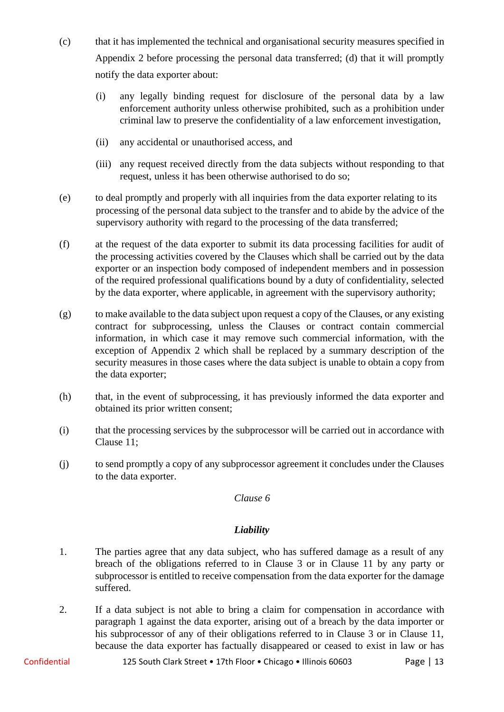- (c) that it has implemented the technical and organisational security measures specified in Appendix 2 before processing the personal data transferred; (d) that it will promptly notify the data exporter about:
	- (i) any legally binding request for disclosure of the personal data by a law enforcement authority unless otherwise prohibited, such as a prohibition under criminal law to preserve the confidentiality of a law enforcement investigation,
	- (ii) any accidental or unauthorised access, and
	- (iii) any request received directly from the data subjects without responding to that request, unless it has been otherwise authorised to do so;
- (e) to deal promptly and properly with all inquiries from the data exporter relating to its processing of the personal data subject to the transfer and to abide by the advice of the supervisory authority with regard to the processing of the data transferred;
- (f) at the request of the data exporter to submit its data processing facilities for audit of the processing activities covered by the Clauses which shall be carried out by the data exporter or an inspection body composed of independent members and in possession of the required professional qualifications bound by a duty of confidentiality, selected by the data exporter, where applicable, in agreement with the supervisory authority;
- (g) to make available to the data subject upon request a copy of the Clauses, or any existing contract for subprocessing, unless the Clauses or contract contain commercial information, in which case it may remove such commercial information, with the exception of Appendix 2 which shall be replaced by a summary description of the security measures in those cases where the data subject is unable to obtain a copy from the data exporter;
- (h) that, in the event of subprocessing, it has previously informed the data exporter and obtained its prior written consent;
- (i) that the processing services by the subprocessor will be carried out in accordance with Clause 11;
- (j) to send promptly a copy of any subprocessor agreement it concludes under the Clauses to the data exporter.

# *Clause 6*

# *Liability*

- 1. The parties agree that any data subject, who has suffered damage as a result of any breach of the obligations referred to in Clause 3 or in Clause 11 by any party or subprocessor is entitled to receive compensation from the data exporter for the damage suffered.
- 2. If a data subject is not able to bring a claim for compensation in accordance with paragraph 1 against the data exporter, arising out of a breach by the data importer or his subprocessor of any of their obligations referred to in Clause 3 or in Clause 11, because the data exporter has factually disappeared or ceased to exist in law or has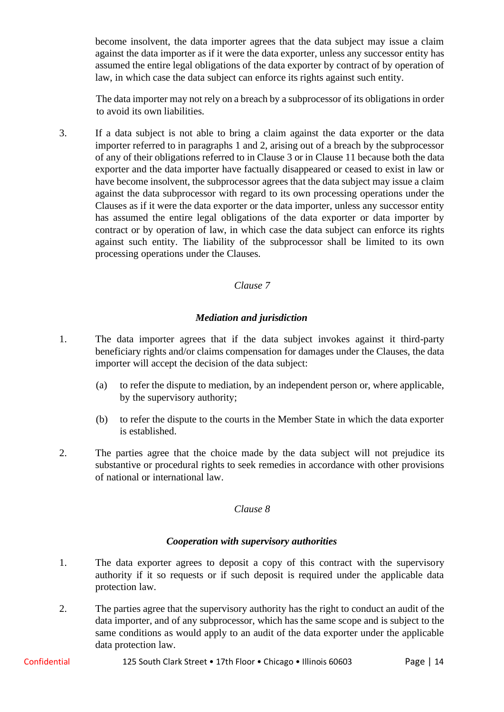become insolvent, the data importer agrees that the data subject may issue a claim against the data importer as if it were the data exporter, unless any successor entity has assumed the entire legal obligations of the data exporter by contract of by operation of law, in which case the data subject can enforce its rights against such entity.

The data importer may not rely on a breach by a subprocessor of its obligations in order to avoid its own liabilities.

3. If a data subject is not able to bring a claim against the data exporter or the data importer referred to in paragraphs 1 and 2, arising out of a breach by the subprocessor of any of their obligations referred to in Clause 3 or in Clause 11 because both the data exporter and the data importer have factually disappeared or ceased to exist in law or have become insolvent, the subprocessor agrees that the data subject may issue a claim against the data subprocessor with regard to its own processing operations under the Clauses as if it were the data exporter or the data importer, unless any successor entity has assumed the entire legal obligations of the data exporter or data importer by contract or by operation of law, in which case the data subject can enforce its rights against such entity. The liability of the subprocessor shall be limited to its own processing operations under the Clauses.

# *Clause 7*

## *Mediation and jurisdiction*

- 1. The data importer agrees that if the data subject invokes against it third-party beneficiary rights and/or claims compensation for damages under the Clauses, the data importer will accept the decision of the data subject:
	- (a) to refer the dispute to mediation, by an independent person or, where applicable, by the supervisory authority;
	- (b) to refer the dispute to the courts in the Member State in which the data exporter is established.
- 2. The parties agree that the choice made by the data subject will not prejudice its substantive or procedural rights to seek remedies in accordance with other provisions of national or international law.

#### *Clause 8*

#### *Cooperation with supervisory authorities*

- 1. The data exporter agrees to deposit a copy of this contract with the supervisory authority if it so requests or if such deposit is required under the applicable data protection law.
- 2. The parties agree that the supervisory authority has the right to conduct an audit of the data importer, and of any subprocessor, which has the same scope and is subject to the same conditions as would apply to an audit of the data exporter under the applicable data protection law.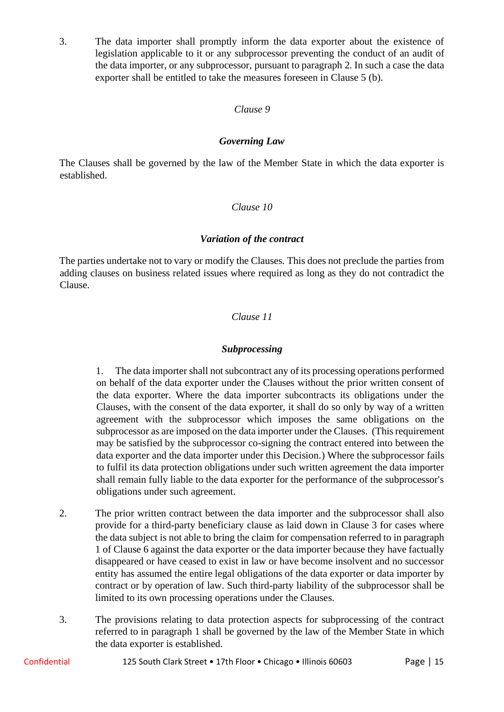3. The data importer shall promptly inform the data exporter about the existence of legislation applicable to it or any subprocessor preventing the conduct of an audit of the data importer, or any subprocessor, pursuant to paragraph 2. In such a case the data exporter shall be entitled to take the measures foreseen in Clause 5 (b).

# *Clause 9*

#### *Governing Law*

The Clauses shall be governed by the law of the Member State in which the data exporter is established.

#### *Clause 10*

### *Variation of the contract*

The parties undertake not to vary or modify the Clauses. This does not preclude the parties from adding clauses on business related issues where required as long as they do not contradict the Clause.

## *Clause 11*

## *Subprocessing*

1. The data importer shall not subcontract any of its processing operations performed on behalf of the data exporter under the Clauses without the prior written consent of the data exporter. Where the data importer subcontracts its obligations under the Clauses, with the consent of the data exporter, it shall do so only by way of a written agreement with the subprocessor which imposes the same obligations on the subprocessor as are imposed on the data importer under the Clauses. (This requirement may be satisfied by the subprocessor co-signing the contract entered into between the data exporter and the data importer under this Decision.) Where the subprocessor fails to fulfil its data protection obligations under such written agreement the data importer shall remain fully liable to the data exporter for the performance of the subprocessor's obligations under such agreement.

- 2. The prior written contract between the data importer and the subprocessor shall also provide for a third-party beneficiary clause as laid down in Clause 3 for cases where the data subject is not able to bring the claim for compensation referred to in paragraph 1 of Clause 6 against the data exporter or the data importer because they have factually disappeared or have ceased to exist in law or have become insolvent and no successor entity has assumed the entire legal obligations of the data exporter or data importer by contract or by operation of law. Such third-party liability of the subprocessor shall be limited to its own processing operations under the Clauses.
- 3. The provisions relating to data protection aspects for subprocessing of the contract referred to in paragraph 1 shall be governed by the law of the Member State in which the data exporter is established.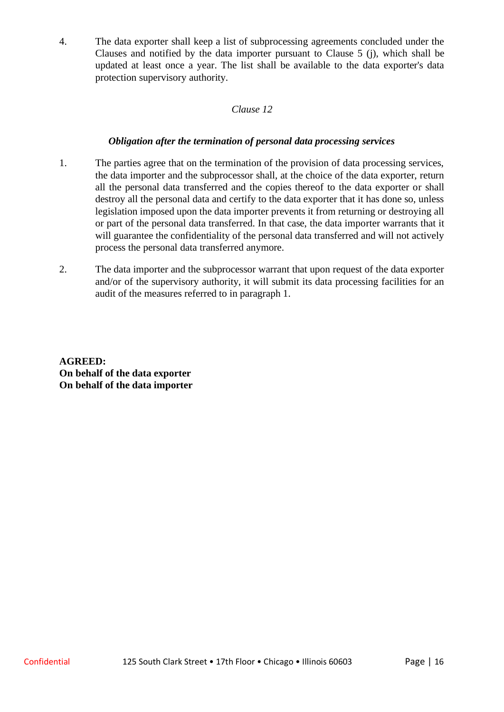4. The data exporter shall keep a list of subprocessing agreements concluded under the Clauses and notified by the data importer pursuant to Clause 5 (j), which shall be updated at least once a year. The list shall be available to the data exporter's data protection supervisory authority.

# *Clause 12*

## *Obligation after the termination of personal data processing services*

- 1. The parties agree that on the termination of the provision of data processing services, the data importer and the subprocessor shall, at the choice of the data exporter, return all the personal data transferred and the copies thereof to the data exporter or shall destroy all the personal data and certify to the data exporter that it has done so, unless legislation imposed upon the data importer prevents it from returning or destroying all or part of the personal data transferred. In that case, the data importer warrants that it will guarantee the confidentiality of the personal data transferred and will not actively process the personal data transferred anymore.
- 2. The data importer and the subprocessor warrant that upon request of the data exporter and/or of the supervisory authority, it will submit its data processing facilities for an audit of the measures referred to in paragraph 1.

**AGREED: On behalf of the data exporter On behalf of the data importer**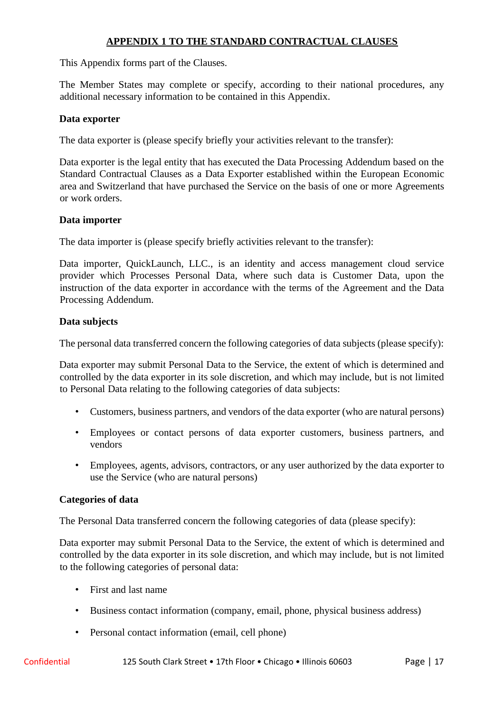# **APPENDIX 1 TO THE STANDARD CONTRACTUAL CLAUSES**

This Appendix forms part of the Clauses.

The Member States may complete or specify, according to their national procedures, any additional necessary information to be contained in this Appendix.

#### **Data exporter**

The data exporter is (please specify briefly your activities relevant to the transfer):

Data exporter is the legal entity that has executed the Data Processing Addendum based on the Standard Contractual Clauses as a Data Exporter established within the European Economic area and Switzerland that have purchased the Service on the basis of one or more Agreements or work orders.

#### **Data importer**

The data importer is (please specify briefly activities relevant to the transfer):

Data importer, QuickLaunch, LLC., is an identity and access management cloud service provider which Processes Personal Data, where such data is Customer Data, upon the instruction of the data exporter in accordance with the terms of the Agreement and the Data Processing Addendum.

## **Data subjects**

The personal data transferred concern the following categories of data subjects (please specify):

Data exporter may submit Personal Data to the Service, the extent of which is determined and controlled by the data exporter in its sole discretion, and which may include, but is not limited to Personal Data relating to the following categories of data subjects:

- Customers, business partners, and vendors of the data exporter (who are natural persons)
- Employees or contact persons of data exporter customers, business partners, and vendors
- Employees, agents, advisors, contractors, or any user authorized by the data exporter to use the Service (who are natural persons)

#### **Categories of data**

The Personal Data transferred concern the following categories of data (please specify):

Data exporter may submit Personal Data to the Service, the extent of which is determined and controlled by the data exporter in its sole discretion, and which may include, but is not limited to the following categories of personal data:

- First and last name
- Business contact information (company, email, phone, physical business address)
- Personal contact information (email, cell phone)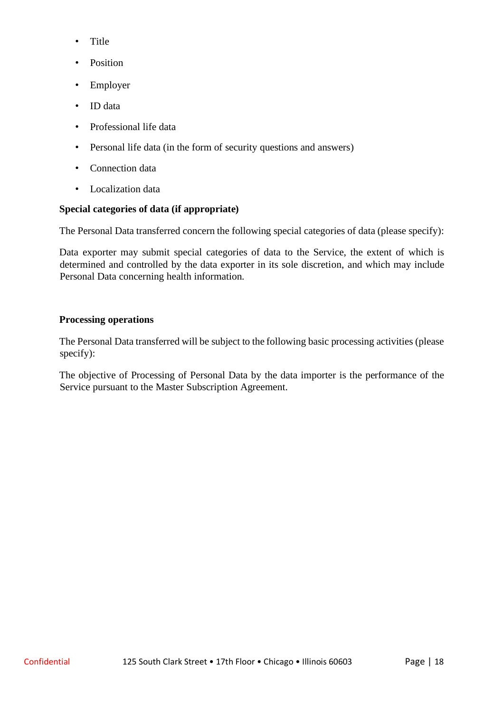- Title
- Position
- Employer
- ID data
- Professional life data
- Personal life data (in the form of security questions and answers)
- Connection data
- Localization data

## **Special categories of data (if appropriate)**

The Personal Data transferred concern the following special categories of data (please specify):

Data exporter may submit special categories of data to the Service, the extent of which is determined and controlled by the data exporter in its sole discretion, and which may include Personal Data concerning health information.

#### **Processing operations**

The Personal Data transferred will be subject to the following basic processing activities (please specify):

The objective of Processing of Personal Data by the data importer is the performance of the Service pursuant to the Master Subscription Agreement.